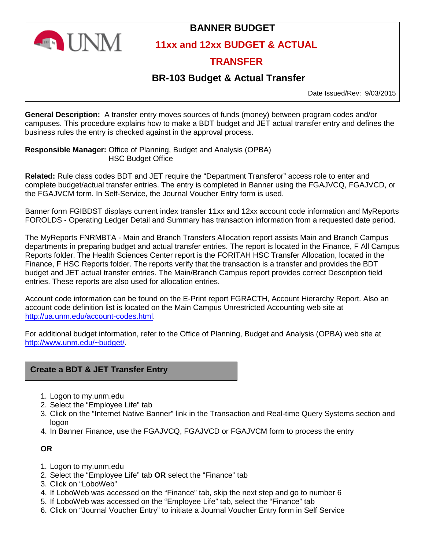

# **BANNER BUDGET**

**11xx and 12xx BUDGET & ACTUAL**

# **TRANSFER**

# **BR-103 Budget & Actual Transfer**

Date Issued/Rev: 9/03/2015

**General Description:** A transfer entry moves sources of funds (money) between program codes and/or campuses. This procedure explains how to make a BDT budget and JET actual transfer entry and defines the business rules the entry is checked against in the approval process.

**Responsible Manager:** Office of Planning, Budget and Analysis (OPBA) HSC Budget Office

**Related:** Rule class codes BDT and JET require the "Department Transferor" access role to enter and complete budget/actual transfer entries. The entry is completed in Banner using the FGAJVCQ, FGAJVCD, or the FGAJVCM form. In Self-Service, the Journal Voucher Entry form is used.

Banner form FGIBDST displays current index transfer 11xx and 12xx account code information and MyReports FOROLDS - Operating Ledger Detail and Summary has transaction information from a requested date period.

The MyReports FNRMBTA - Main and Branch Transfers Allocation report assists Main and Branch Campus departments in preparing budget and actual transfer entries. The report is located in the Finance, F All Campus Reports folder. The Health Sciences Center report is the FORITAH HSC Transfer Allocation, located in the Finance, F HSC Reports folder. The reports verify that the transaction is a transfer and provides the BDT budget and JET actual transfer entries. The Main/Branch Campus report provides correct Description field entries. These reports are also used for allocation entries.

Account code information can be found on the E-Print report FGRACTH, Account Hierarchy Report. Also an account code definition list is located on the Main Campus Unrestricted Accounting web site at http://ua.unm.edu/account-codes.html.

For additional budget information, refer to the Office of Planning, Budget and Analysis (OPBA) web site at http://www.unm.edu/~budget/.

## **Create a BDT & JET Transfer Entry**

- 1. Logon to my.unm.edu
- 2. Select the "Employee Life" tab
- 3. Click on the "Internet Native Banner" link in the Transaction and Real-time Query Systems section and logon
- 4. In Banner Finance, use the FGAJVCQ, FGAJVCD or FGAJVCM form to process the entry

**OR**

- 1. Logon to my.unm.edu
- 2. Select the "Employee Life" tab **OR** select the "Finance" tab
- 3. Click on "LoboWeb"
- 4. If LoboWeb was accessed on the "Finance" tab, skip the next step and go to number 6
- 5. If LoboWeb was accessed on the "Employee Life" tab, select the "Finance" tab
- 6. Click on "Journal Voucher Entry" to initiate a Journal Voucher Entry form in Self Service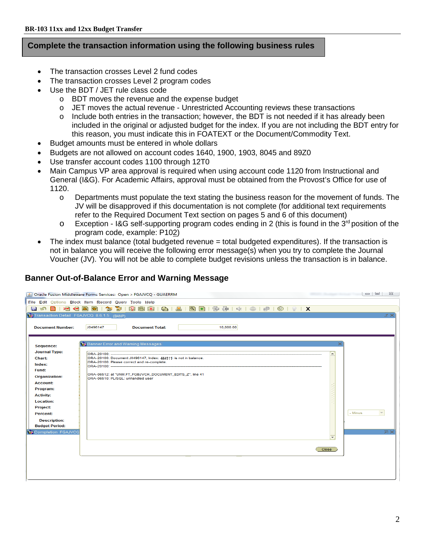#### **Complete the transaction information using the following business rules**

- The transaction crosses Level 2 fund codes
- The transaction crosses Level 2 program codes
- Use the BDT / JET rule class code
	- o BDT moves the revenue and the expense budget
	- o JET moves the actual revenue Unrestricted Accounting reviews these transactions
	- $\circ$  Include both entries in the transaction; however, the BDT is not needed if it has already been included in the original or adjusted budget for the index. If you are not including the BDT entry for this reason, you must indicate this in FOATEXT or the Document/Commodity Text.
- Budget amounts must be entered in whole dollars
- Budgets are not allowed on account codes 1640, 1900, 1903, 8045 and 89Z0
- Use transfer account codes 1100 through 12T0
- Main Campus VP area approval is required when using account code 1120 from Instructional and General (I&G). For Academic Affairs, approval must be obtained from the Provost's Office for use of 1120.
	- o Departments must populate the text stating the business reason for the movement of funds. The JV will be disapproved if this documentation is not complete (for additional text requirements refer to the Required Document Text section on pages 5 and 6 of this document)
	- $\circ$  Exception I&G self-supporting program codes ending in 2 (this is found in the 3<sup>rd</sup> position of the program code, example: P102)
- The index must balance (total budgeted revenue = total budgeted expenditures). If the transaction is not in balance you will receive the following error message(s) when you try to complete the Journal Voucher (JV). You will not be able to complete budget revisions unless the transaction is in balance.

## **Banner Out-of-Balance Error and Warning Message**

|                                             | Oracle Fusion Middleware Forms Services: Open > FGAJVCQ - GUAERRM                             |                          | $-1$ 23                          |
|---------------------------------------------|-----------------------------------------------------------------------------------------------|--------------------------|----------------------------------|
|                                             | File Edit Options Block Item Record Query Tools Help                                          |                          |                                  |
|                                             |                                                                                               |                          |                                  |
| Transaction Detail FGAJVCQ 8.6.1.5 (BANP)   |                                                                                               |                          | ≤ ×                              |
|                                             |                                                                                               |                          |                                  |
| <b>Document Number:</b>                     | J0496147<br><b>Document Total:</b><br>10,000.00                                               |                          |                                  |
|                                             |                                                                                               |                          |                                  |
| Sequence:                                   | <b>Banner Error and Warning Messages</b>                                                      |                          |                                  |
| <b>Journal Type:</b>                        |                                                                                               |                          |                                  |
| <b>Chart:</b>                               | ORA-20100: Document J0496147, Index: 444111 is not in balance.                                | $\blacktriangle$         |                                  |
| Index:                                      | ORA-20100: Please correct and re-complete.                                                    |                          |                                  |
| Fund:                                       |                                                                                               |                          |                                  |
| Organization:                               | ORA-06512: at "UNM.FT_FGBJVCH_DOCUMENT_EDITS_Z", line 41<br>ORA-06510: PL/SQL: unhandled user |                          |                                  |
| <b>Account:</b>                             |                                                                                               |                          |                                  |
| Program:                                    |                                                                                               |                          |                                  |
| <b>Activity:</b>                            |                                                                                               |                          |                                  |
| <b>Location:</b>                            |                                                                                               |                          |                                  |
| <b>Project:</b>                             |                                                                                               |                          | $\overline{\phantom{a}}$         |
| Percent:                                    |                                                                                               | - Minus                  |                                  |
| <b>Description:</b>                         |                                                                                               |                          |                                  |
| <b>Budget Period:</b><br>Completion FGAJVCQ |                                                                                               |                          | $\overline{\mathbb{Z}}$ $\times$ |
|                                             |                                                                                               | $\overline{\phantom{m}}$ |                                  |
|                                             |                                                                                               |                          |                                  |
|                                             |                                                                                               | Close                    |                                  |
|                                             |                                                                                               |                          |                                  |
|                                             |                                                                                               |                          |                                  |
|                                             |                                                                                               |                          |                                  |
|                                             |                                                                                               |                          |                                  |
|                                             |                                                                                               |                          |                                  |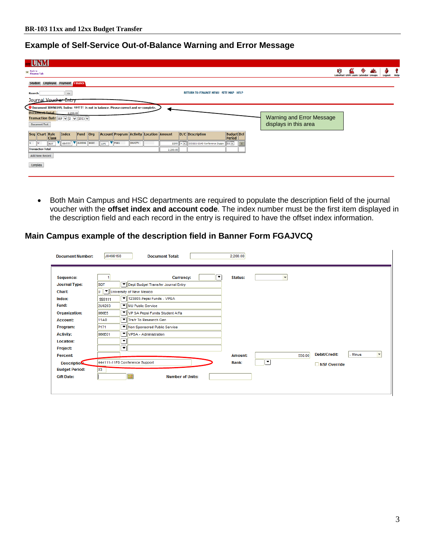# **Example of Self-Service Out-of-Balance Warning and Error Message**

| <b>TUNM</b>                                                                                                  |                                                |                                     |
|--------------------------------------------------------------------------------------------------------------|------------------------------------------------|-------------------------------------|
| <b>Excellent Back to</b><br>Finance Tab                                                                      |                                                | М<br><b>LoboMail</b><br>Logout Help |
| Student Employee Payment Finance                                                                             |                                                |                                     |
| <b>Search</b><br>Go                                                                                          | <b>RETURN TO FINANCE MENU SITE MAP HELP</b>    |                                     |
| Journal Voucher Entry                                                                                        |                                                |                                     |
| O Document J0496149, Index: 444111 is not in balance. Please correct and re-complete.                        |                                                |                                     |
| <b>Document Total</b><br>2,200.00<br>Transaction Date SEP $\sqrt{2}$ $\sqrt{2015}$                           |                                                | Warning and Error Message           |
| Document Text                                                                                                |                                                | displays in this area               |
| <b>Account Program Activity Location Amount</b><br>Seq Chart Rule<br>Index<br>Fund Org<br>  <sub>class</sub> | <b>Budget</b> Del<br>D/C Description<br>Period |                                     |
| 444111 <b>V 2U0006 682C</b><br>$\nabla$ P161<br>GNACTV<br>llu<br>BDT<br>11F0                                 | 2200 + V S55111-1140 Conference Suppo 03 V     |                                     |
| <b>Transaction Total:</b>                                                                                    | 2,200.00                                       |                                     |
| Add New Record                                                                                               |                                                |                                     |
| Complete                                                                                                     |                                                |                                     |
|                                                                                                              |                                                |                                     |
|                                                                                                              |                                                |                                     |

• Both Main Campus and HSC departments are required to populate the description field of the journal voucher with the **offset index and account code**. The index number must be the first item displayed in the description field and each record in the entry is required to have the offset index information.

### **Main Campus example of the description field in Banner Form FGAJVCQ**

| <b>Document Number:</b>                                                                                        | J0496150                                                               |    | <b>Document Total:</b>                                                                                                                                                       | 2,200.00                |                          |                                                                             |
|----------------------------------------------------------------------------------------------------------------|------------------------------------------------------------------------|----|------------------------------------------------------------------------------------------------------------------------------------------------------------------------------|-------------------------|--------------------------|-----------------------------------------------------------------------------|
| Sequence:<br><b>Journal Type:</b><br>Chart:                                                                    | <b>BDT</b><br>U                                                        |    | $\blacktriangledown$<br><b>Currency:</b><br>Dept Budget Transfer Journal Entry<br>Villaniversity of New Mexico                                                               | <b>Status:</b>          | $\overline{\phantom{a}}$ |                                                                             |
| Index:<br><b>Fund:</b><br>Organization:<br><b>Account:</b><br>Program:<br><b>Activity:</b><br><b>Location:</b> | 555111<br>200203<br>866E5<br><b>11A0</b><br>P <sub>171</sub><br>866E01 | ᆌ  | ▼   123803-Pepsi Funds - VPSA<br>MU Public Service<br>VP SA Pepsi Funds Student Affa<br>▼ Trsfr To Research Gen<br>▼   Non Sponsored Public Service<br>VPSA - Administration |                         |                          |                                                                             |
| Project:<br><b>Percent:</b><br><b>Description:</b><br><b>Budget Period:</b><br><b>Gift Date:</b>               | $ 03\rangle$                                                           | ▾∥ | 444111-11F0 Conference Support<br>$\blacksquare$<br><b>Number of Units:</b>                                                                                                  | <b>Amount:</b><br>Bank: | 550.00<br>▼              | Debit/Credit:<br>$\overline{\phantom{a}}$<br>- Minus<br><b>NSF Override</b> |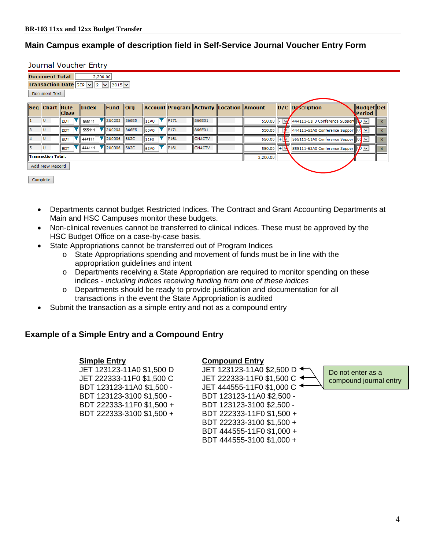## **Main Campus example of description field in Self-Service Journal Voucher Entry Form**

Journal Voucher Entry

|                      | <b>Document Total</b><br>2,200.00                    |                 |        |                                  |         |                  |                                                 |               |  |          |    |                                                                                              |                             |   |
|----------------------|------------------------------------------------------|-----------------|--------|----------------------------------|---------|------------------|-------------------------------------------------|---------------|--|----------|----|----------------------------------------------------------------------------------------------|-----------------------------|---|
|                      | <b>Transaction Date</b> SEP $\sqrt{2}$ $\sqrt{2015}$ |                 |        |                                  |         |                  |                                                 |               |  |          |    |                                                                                              |                             |   |
| <b>Document Text</b> |                                                      |                 |        |                                  |         |                  |                                                 |               |  |          |    |                                                                                              |                             |   |
|                      | <b>Seq Chart Rule</b>                                | <b>Class</b>    | Index  | Fund                             | $ $ Org |                  | <b>Account Program Activity Location Amount</b> |               |  |          |    | D/C Description                                                                              | <b>Budget Del</b><br>Period |   |
| $\mathbf{1}$         | ΙU                                                   | <b>BDT</b>      | 555111 | $\blacktriangledown$ 200203      | 866E5   | 11A0             | P171                                            | 866E01        |  | 550.00   | ℳ  | 444111-11F0 Conference Support                                                               |                             |   |
| 3                    | lυ                                                   | <b>BDT</b>      | 555111 | $\blacktriangledown$ 200203      | 866E5   | 63A0             | P <sub>171</sub>                                | 866E01        |  | 550.00   |    | $444111 - 63A0$ Conference Suppor $03 \vee$                                                  |                             | X |
| 4                    | ΙU                                                   | v<br><b>BDT</b> | 444111 | $\blacktriangledown$ 200006      | 682C    | $\parallel$ 11FO | P <sub>161</sub>                                | <b>GNACTV</b> |  | 550.00   |    | $\vert \cdot \vert$ 555111-11A0 Conference Suppor $\vert \vert \vert$ 03 $\vert \cdot \vert$ |                             | X |
| 5                    |                                                      | v<br><b>BDT</b> | 444111 | $\blacktriangledown$ 200006 682C |         | 63A0             | P <sub>161</sub>                                | <b>GNACTV</b> |  | 550.00   | I÷ | $\left \mathbf{A}\right $ 555111-63A0 Conference Suppor $\left\ 0\right\ $                   |                             | x |
|                      | <b>Transaction Total:</b>                            |                 |        |                                  |         |                  |                                                 |               |  | 2,200.00 |    |                                                                                              |                             |   |
|                      | Add New Record                                       |                 |        |                                  |         |                  |                                                 |               |  |          |    |                                                                                              |                             |   |
| Complete             |                                                      |                 |        |                                  |         |                  |                                                 |               |  |          |    |                                                                                              |                             |   |

- Departments cannot budget Restricted Indices. The Contract and Grant Accounting Departments at Main and HSC Campuses monitor these budgets.
- Non-clinical revenues cannot be transferred to clinical indices. These must be approved by the HSC Budget Office on a case-by-case basis.
- State Appropriations cannot be transferred out of Program Indices
	- $\circ$  State Appropriations spending and movement of funds must be in line with the appropriation guidelines and intent
	- o Departments receiving a State Appropriation are required to monitor spending on these indices - *including indices receiving funding from one of these indices*
	- o Departments should be ready to provide justification and documentation for all transactions in the event the State Appropriation is audited
- Submit the transaction as a simple entry and not as a compound entry

## **Example of a Simple Entry and a Compound Entry**

JET 123123-11A0 \$1,500 D

 **Simple Entry Compound Entry** JET 222333-11F0 \$1,500 C JET 222333-11F0 \$1,500 C BDT 123123-11A0 \$1,500 - JET 444555-11F0 \$1,000 C BDT 123123-3100 \$1,500 - BDT 123123-11A0 \$2,500 - BDT 222333-11F0 \$1,500 + BDT 123123-3100 \$2,500 - BDT 222333-3100 \$1,500 + BDT 222333-11F0 \$1,500 + BDT 222333-3100 \$1,500 + BDT 444555-11F0 \$1,000 + BDT 444555-3100 \$1,000 +

Do not enter as a compound journal entry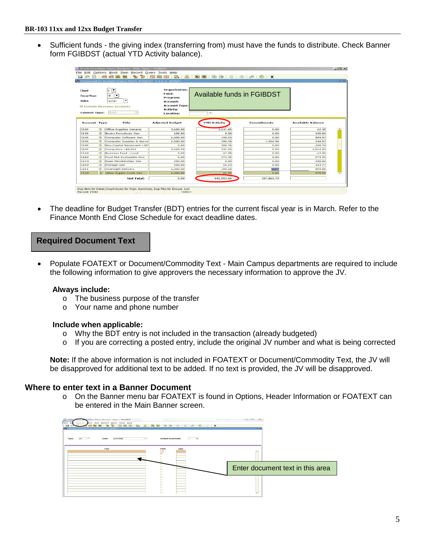• Sufficient funds - the giving index (transferring from) must have the funds to distribute. Check Banner form FGIBDST (actual YTD Activity balance).

| <b>Chart:</b><br><b>Fiscal Year:</b><br>Index:<br><b>Commit Type:</b> |     | <b>Se Organization Budget Status Form FGIBDST 7.4.0.1 (BANP)</b><br>E<br>$(\overline{\phantom{a}}\,\overline{\phantom{a}}\,)$<br>16<br>٠<br>123123<br><b>Manufacture Revenue Accounts</b><br>Both | Organization:<br>Fund:<br>Program:<br><b>Account:</b><br><b>Account Type:</b><br>Activity: | Available funds in FGIBDST                      |                    |                          |
|-----------------------------------------------------------------------|-----|---------------------------------------------------------------------------------------------------------------------------------------------------------------------------------------------------|--------------------------------------------------------------------------------------------|-------------------------------------------------|--------------------|--------------------------|
| <b>Account Type</b>                                                   |     | Title                                                                                                                                                                                             | Location:<br><b>Adjusted Budget</b>                                                        | $\overline{\phantom{0}}$<br><b>YTD Activity</b> | <b>Commitments</b> | <b>Available Balance</b> |
| 3100                                                                  | le. | <b>Office Supplies General</b>                                                                                                                                                                    | 3,600.00                                                                                   | 3,537.65                                        | 0.00               | 62.35                    |
| 3110                                                                  | E   | <b>Books Periodicals Gen</b>                                                                                                                                                                      | 100.00                                                                                     | 0.00                                            | 0.00               | 100.00                   |
| 3140                                                                  | e.  | Computer Software Gen                                                                                                                                                                             | 1,000.00                                                                                   | 190.03                                          | 0.00               | 809.97                   |
| 3150                                                                  |     | Computer Supplies & Serve                                                                                                                                                                         | 2,500.00                                                                                   | 398.99                                          | 1,916.94           | 184.07                   |
| 3180                                                                  | lm. | Non Capital Equipment <\$5                                                                                                                                                                        | 0.00                                                                                       | 288.74                                          | 0.00               | $-200.74$                |
| 3109                                                                  | m.  | Computers < $$5,001$                                                                                                                                                                              | 2,500.00                                                                                   | 936.00                                          | 0.00               | 1,564.00                 |
| 31A0                                                                  |     | Business Food - Local                                                                                                                                                                             | 0.00                                                                                       | 47.00                                           | 0.00               | $-47,00$                 |
| 3180                                                                  | le. | Food F&A Excludable Gen                                                                                                                                                                           | 0.00                                                                                       | 273.95                                          | 0.00               | $-273.95$                |
| 31C0                                                                  | lm. | Dues Memberships Gen                                                                                                                                                                              | 200.00                                                                                     | 0.00                                            | 0.00               | 200.00                   |
| 31KO                                                                  | E   | Postage Gen                                                                                                                                                                                       | 200.00                                                                                     | 16.23                                           | 0.00               | 183.77                   |
|                                                                       | E   | Overnight Delivery                                                                                                                                                                                | 1,000.00                                                                                   | 140.14                                          | 0.00               | 859,86                   |
|                                                                       | m.  | Other Supply Costs Gen                                                                                                                                                                            | 1,000.00                                                                                   | 24.50                                           | 0.00               | 975,50                   |
| 31K1<br>3720                                                          |     |                                                                                                                                                                                                   |                                                                                            | 442,553.06                                      | 307,061.79         |                          |

• The deadline for Budget Transfer (BDT) entries for the current fiscal year is in March. Refer to the Finance Month End Close Schedule for exact deadline dates.

### **Required Document Text**

• Populate FOATEXT or Document/Commodity Text - Main Campus departments are required to include the following information to give approvers the necessary information to approve the JV.

#### **Always include:**

- o The business purpose of the transfer
- o Your name and phone number

#### **Include when applicable:**

- o Why the BDT entry is not included in the transaction (already budgeted)
- o If you are correcting a posted entry, include the original JV number and what is being corrected

**Note:** If the above information is not included in FOATEXT or Document/Commodity Text, the JV will be disapproved for additional text to be added. If no text is provided, the JV will be disapproved.

#### **Where to enter text in a Banner Document**

o On the Banner menu bar FOATEXT is found in Options, Header Information or FOATEXT can be entered in the Main Banner screen.

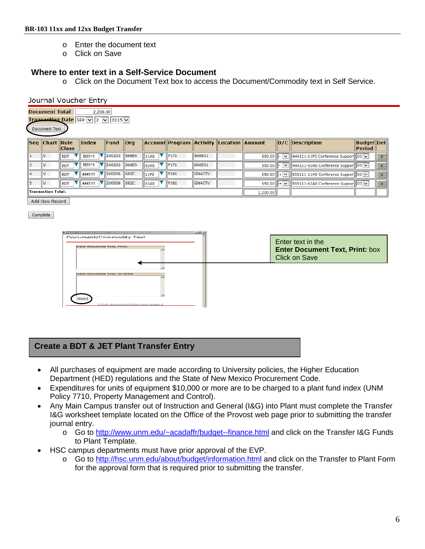- o Enter the document text
- o Click on Save

#### **Where to enter text in a Self-Service Document**

o Click on the Document Text box to access the Document/Commodity text in Self Service.

|                | Journal Voucher Entry                                                                                           |                 |                 |                             |         |      |                  |               |                                                 |          |                |                                                                        |                                    |  |
|----------------|-----------------------------------------------------------------------------------------------------------------|-----------------|-----------------|-----------------------------|---------|------|------------------|---------------|-------------------------------------------------|----------|----------------|------------------------------------------------------------------------|------------------------------------|--|
|                | <b>Document Total</b><br>2,200.00<br><b>Transaction Date SEP <math> v  2 v  2015 v </math></b><br>Document Text |                 |                 |                             |         |      |                  |               |                                                 |          |                |                                                                        |                                    |  |
|                | <b>Seg Chart Rule</b>                                                                                           | <b>Class</b>    | $\ln$ dex       | <b>Fund</b>                 | $ $ org |      |                  |               | <b>Account Program Activity Location Amount</b> |          |                | $D/C$ Description                                                      | <b>Budget Del</b><br><b>Period</b> |  |
|                |                                                                                                                 | <b>BDT</b>      | 555111          | <b>V</b> 200203             | 866E5   | 11A0 | P <sub>171</sub> | 866E01        |                                                 | 550.00   | $\vee$ 1       | 444111-11F0 Conference Support 03 v                                    |                                    |  |
|                | U                                                                                                               | <b>BDT</b>      | 555111 V 2U0203 |                             | 866E5   | 63A0 | P <sub>171</sub> | 866E01        |                                                 | 550.00   | $\mathsf{v}$ . | $  444111-63A0$ Conference Suppor $  03 \times$                        |                                    |  |
| $\overline{4}$ | U                                                                                                               | <b>BDT</b>      | 444111          | $\blacktriangledown$ 200006 | 682C    | 11F0 | P <sub>161</sub> | <b>GNACTV</b> |                                                 |          |                | 550.00 $    +    \lor    $ 555111-11A0 Conference Suppor $   03  \lor$ |                                    |  |
|                | ΙU                                                                                                              | v<br><b>BDT</b> | 444111          | V 200006 682C               |         | 63A0 | P <sub>161</sub> | <b>GNACTV</b> |                                                 |          |                | 550.00    + $\vee$    555111-63A0 Conference Suppor    03 $\vee$       |                                    |  |
|                | <b>Transaction Total:</b>                                                                                       |                 |                 |                             |         |      |                  |               |                                                 | 2,200.00 |                |                                                                        |                                    |  |

Add New Record

Complete



| Enter text in the                      |
|----------------------------------------|
| <b>Enter Document Text. Print: box</b> |
| Click on Save                          |

## **Create a BDT & JET Plant Transfer Entry**

- All purchases of equipment are made according to University policies, the Higher Education Department (HED) regulations and the State of New Mexico Procurement Code.
- Expenditures for units of equipment \$10,000 or more are to be charged to a plant fund index (UNM Policy 7710, Property Management and Control).
- Any Main Campus transfer out of Instruction and General (I&G) into Plant must complete the Transfer I&G worksheet template located on the Office of the Provost web page prior to submitting the transfer journal entry.
	- o Go to http://www.unm.edu/~acadaffr/budget--finance.html and click on the Transfer I&G Funds to Plant Template.
- HSC campus departments must have prior approval of the EVP.
	- o Go to http://hsc.unm.edu/about/budget/information.html and click on the Transfer to Plant Form for the approval form that is required prior to submitting the transfer.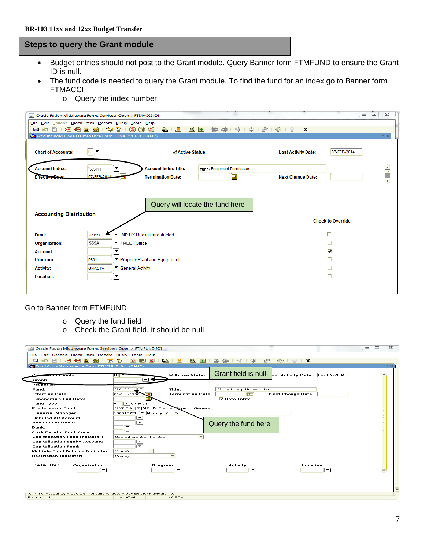## **Steps to query the Grant module**

- Budget entries should not post to the Grant module. Query Banner form FTMFUND to ensure the Grant ID is null.
- The fund code is needed to query the Grant module. To find the fund for an index go to Banner form **FTMACCI** 
	- o Query the index number

| Oracle Fusion Middleware Forms Services: Open > FTMACCI [Q] |                                                                                               |                                          |                                            |                                   |                         | $\Box$ $\Box$ | $\Sigma$ |  |  |  |
|-------------------------------------------------------------|-----------------------------------------------------------------------------------------------|------------------------------------------|--------------------------------------------|-----------------------------------|-------------------------|---------------|----------|--|--|--|
| File Edit Options Block Item Record Query Tools Help        |                                                                                               |                                          |                                            |                                   |                         |               |          |  |  |  |
| 相相固<br>$\blacksquare$<br>n<br>自                             | 御<br>E                                                                                        | $\bigoplus$ $\bigoplus$<br>园 区<br>图<br>窗 | $\mathbb{R}$ $\mathbb{R}$<br>昏暑<br>  咪   卷 | $\circledcirc$   $\circ$   X<br>● |                         |               |          |  |  |  |
| Account Index Code Maintenance Form FTMACCI 8.0 (BANP)      |                                                                                               |                                          |                                            |                                   |                         |               | ≤×       |  |  |  |
| <b>Chart of Accounts:</b>                                   | $\mathbf{u}$ $\mathbf{v}$                                                                     | <b>ZActive Status</b>                    |                                            | <b>Last Activity Date:</b>        | 07-FEB-2014             |               |          |  |  |  |
| <b>Account Index:</b>                                       | ٠<br>555111                                                                                   | <b>Account Index Title:</b>              | TREE & Equipment Purchases                 |                                   |                         |               |          |  |  |  |
| <b>Effective Date:</b>                                      | 07-FFR-2014                                                                                   | <b>Termination Date:</b>                 | 圛                                          | <b>Next Change Date:</b>          |                         |               | e<br>F   |  |  |  |
|                                                             | Query will locate the fund here<br><b>Accounting Distribution</b><br><b>Check to Override</b> |                                          |                                            |                                   |                         |               |          |  |  |  |
| Fund:                                                       | ▾<br>2P0156                                                                                   | MP UX Unexp Unrestricted                 |                                            |                                   | П                       |               |          |  |  |  |
| Organization:                                               | ▾╽<br>555A                                                                                    | TREE Office                              |                                            |                                   |                         |               |          |  |  |  |
| <b>Account:</b>                                             | ▼                                                                                             |                                          |                                            |                                   | $\overline{\mathbf{v}}$ |               |          |  |  |  |
| Program:                                                    | P501                                                                                          | ▼ Property Plant and Equipment           |                                            |                                   |                         |               |          |  |  |  |
| <b>Activity:</b>                                            | <b>GNACTV</b>                                                                                 | Ceneral Activity                         |                                            |                                   |                         |               |          |  |  |  |
| <b>Location:</b>                                            | ▼                                                                                             |                                          |                                            |                                   | П                       |               |          |  |  |  |
|                                                             |                                                                                               |                                          |                                            |                                   |                         |               |          |  |  |  |

#### Go to Banner form FTMFUND

- o Query the fund field
- o Check the Grant field, it should be null

| Oracle Fusion Middleware Forms Services: Open > FTMFUND [Q]<br>Eile Edit Options Block Item Record Query Tools Help |                                       |                          |                                             |                                |    | $\Box$<br>$\Sigma$<br>$\qquad \qquad \blacksquare$ |
|---------------------------------------------------------------------------------------------------------------------|---------------------------------------|--------------------------|---------------------------------------------|--------------------------------|----|----------------------------------------------------|
| >1<br>⊸⊟<br>P <sub>1</sub><br>a<br><b>E</b><br>雷                                                                    | 13<br>扁<br>$\mathbf{X}$<br>ួ<br>南     | ۱Q۱<br>l +1              | 异<br>酒<br>- 죽는<br>$\leq 1$<br>$\frac{1}{2}$ | $\circledR$<br>$\mathbf{X}$    |    |                                                    |
| Fund Code Maintenance Form FTMFUND 8.4 (BANP)                                                                       |                                       |                          |                                             |                                |    | $\leq$ $\times$                                    |
| Chart of Accounts:<br>Grant:                                                                                        | णाण<br>罓                              | Active Status            | Grant field is null                         | ast Activity Date: 04-JUN-2004 |    | $\rightarrow$                                      |
| Proposal.                                                                                                           |                                       |                          |                                             |                                |    |                                                    |
| Fund:                                                                                                               | 2P0156                                | Title:                   | MP UX Unexp Unrestricted                    |                                |    |                                                    |
| <b>Effective Date:</b>                                                                                              | 01-JUL-1950                           | <b>Termination Date:</b> | ŒН                                          | <b>Next Change Date:</b>       |    |                                                    |
| <b>Expenditure End Date:</b>                                                                                        |                                       |                          | Oata Entry                                  |                                |    |                                                    |
| <b>Fund Type:</b>                                                                                                   | 62 FUX Main                           |                          |                                             |                                |    |                                                    |
| <b>Predecessor Fund:</b>                                                                                            | 2PXDCG F MP UX Discret Expend General |                          |                                             |                                |    |                                                    |
| <b>Financial Manager:</b>                                                                                           | 100010721   Murphy, Kim D.            |                          |                                             |                                |    |                                                    |
| <b>Unbilled AR Account:</b>                                                                                         |                                       |                          |                                             |                                |    |                                                    |
| <b>Revenue Account:</b>                                                                                             | ▾                                     |                          | Query the fund here                         |                                |    |                                                    |
| Bank:                                                                                                               | ☞                                     |                          |                                             |                                |    |                                                    |
| Cash Receipt Bank Code:                                                                                             | $\overline{\phantom{0}}$              |                          |                                             |                                |    |                                                    |
| <b>Capitalization Fund Indicator:</b>                                                                               | Cap Different or No Cap               | $\overline{\phantom{a}}$ |                                             |                                |    |                                                    |
| <b>Capitalization Equity Account:</b>                                                                               | ↽<br>▼                                |                          |                                             |                                |    |                                                    |
| <b>Capitalization Fund:</b><br><b>Multiple Fund Balance Indicator:</b>                                              | (None)<br>$\overline{\phantom{a}}$    |                          |                                             |                                |    |                                                    |
| <b>Restriction Indicator:</b>                                                                                       | (None)                                |                          |                                             |                                |    |                                                    |
|                                                                                                                     |                                       |                          |                                             |                                |    |                                                    |
| Defaults:<br>Organization<br>$\overline{\phantom{a}}$                                                               | Program                               | $\overline{\phantom{a}}$ | Activity<br>$\overline{\phantom{a}}$        | Location                       | ∣▼ |                                                    |
| Chart of Accounts; Press LIST for valid values. Press Edit for Navigate To.<br>Record: 1/1                          | List of Valu                          | $<$ OSC>                 |                                             |                                |    | $\overline{\phantom{a}}$                           |
| $\cdots$                                                                                                            |                                       |                          |                                             |                                |    |                                                    |